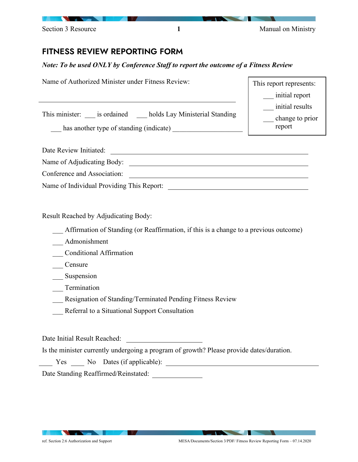| <u> Andreas Andreas Andreas Andreas Andreas Andreas Andreas Andreas Andreas Andreas Andreas Andreas Andreas Andreas Andreas Andreas Andreas Andreas Andreas Andreas Andreas Andreas Andreas Andreas Andreas Andreas Andreas Andr</u> |  |                    |
|--------------------------------------------------------------------------------------------------------------------------------------------------------------------------------------------------------------------------------------|--|--------------------|
| Section 3 Resource                                                                                                                                                                                                                   |  | Manual on Ministry |

## FITNESS REVIEW REPORTING FORM

## *Note: To be used ONLY by Conference Staff to report the outcome of a Fitness Review*

| Name of Authorized Minister under Fitness Review:                                                    | This report represents:                      |
|------------------------------------------------------------------------------------------------------|----------------------------------------------|
|                                                                                                      | initial report                               |
| This minister: is ordained holds Lay Ministerial Standing<br>has another type of standing (indicate) | initial results<br>change to prior<br>report |
| Date Review Initiated:                                                                               |                                              |
| Name of Adjudicating Body:                                                                           |                                              |
| Conference and Association:                                                                          |                                              |
| Name of Individual Providing This Report:                                                            |                                              |

Result Reached by Adjudicating Body:

\_\_\_ Affirmation of Standing (or Reaffirmation, if this is a change to a previous outcome)

\_\_\_ Admonishment

\_\_\_ Conditional Affirmation

\_\_\_ Censure

Suspension

\_\_\_ Termination

\_\_\_ Resignation of Standing/Terminated Pending Fitness Review

\_\_\_ Referral to a Situational Support Consultation

Date Initial Result Reached:

Is the minister currently undergoing a program of growth? Please provide dates/duration.

Yes No Dates (if applicable):

Date Standing Reaffirmed/Reinstated:

**STATISTICS**